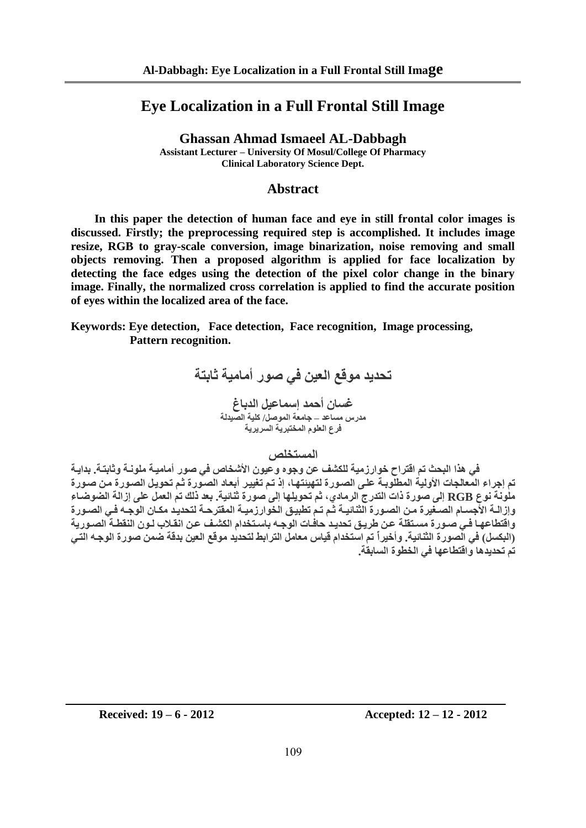# **Eye Localization in a Full Frontal Still Image**

**Ghassan Ahmad Ismaeel AL-Dabbagh Assistant Lecturer – University Of Mosul/College Of Pharmacy Clinical Laboratory Science Dept.**

## **Abstract**

 **In this paper the detection of human face and eye in still frontal color images is discussed. Firstly; the preprocessing required step is accomplished. It includes image resize, RGB to gray-scale conversion, image binarization, noise removing and small objects removing. Then a proposed algorithm is applied for face localization by detecting the face edges using the detection of the pixel color change in the binary image. Finally, the normalized cross correlation is applied to find the accurate position of eyes within the localized area of the face.**

**Keywords: Eye detection, Face detection, Face recognition, Image processing, Pattern recognition.**

> **تحديد موقع العين في صور أمامية ثابتة غسان أحمد إسماعيل الدباغ مدرس مساعد – جامعة الموصل/ كلية الصيدلة فرع العلوم المختبرية السريرية**

> > **المستخلص**

 **في هذا البحث تم اقتراح خوارزمية للكشف عن وجوه وعيون األشخاص في صور أماميةة ملونةة و ثابتةة بدايةة**  تم إجراء المعالجات الأولية المطلوبـة علـ<sub>ة،</sub> الصورة لتهيئتها، إذ تم تغيير أبعاد الصورة ثم تحويل الصورة من صورة  **ملونة نوع RGB إ لا صورت ات التدرج الرما ي ثم تحويلتا إلا صورت ثنائية بعد لك تم العمل علا إزالة الضوضةاء**  وإزالــة الأجســام الصــغيرة مـن الصــورة الثنـائيــة ثـم تــم تطبيـق الـخوارزميــة المقترحــة لتحديـد مكـان الوجــه فـ*ي* الصـورة واقتطاعها ف*ي* صورة مستقلة عن طريق تحديد حافات الوجه باستخدام الكشف عن انقلاب لـون النقطـة الصـورية  **)البكسل( في الصورت ال نائية وأخيرا تم استخدام قياس معامل الترابط لتحديد م وقع العين بدقة ضمن صورت الوجةل التةي تم تحديدها و اقتطاعتا في الخطوت السابقة** 

**Received: 19 – 6 - 2012 Accepted: 12 – 12 - 2012**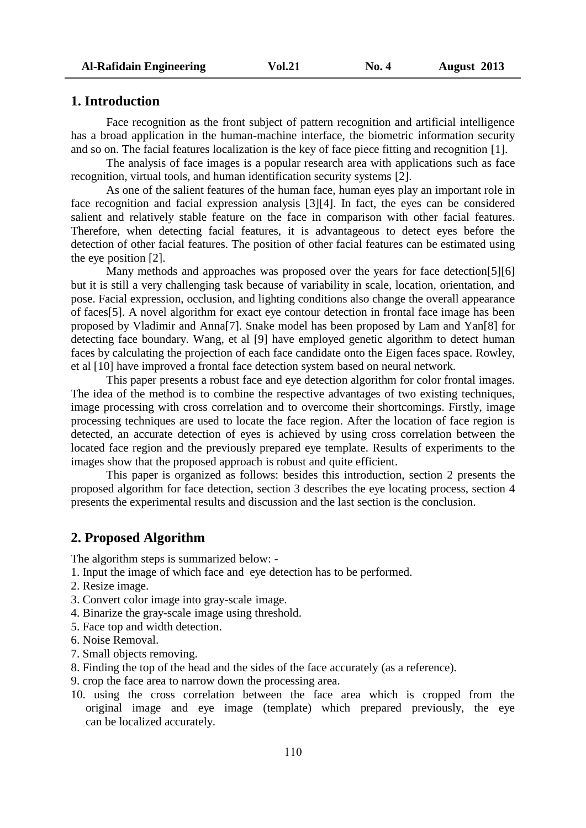## **1. Introduction**

Face recognition as the front subject of pattern recognition and artificial intelligence has a broad application in the human-machine interface, the biometric information security and so on. The facial features localization is the key of face piece fitting and recognition [1].

The analysis of face images is a popular research area with applications such as face recognition, virtual tools, and human identification security systems [2].

As one of the salient features of the human face, human eyes play an important role in face recognition and facial expression analysis [3][4]. In fact, the eyes can be considered salient and relatively stable feature on the face in comparison with other facial features. Therefore, when detecting facial features, it is advantageous to detect eyes before the detection of other facial features. The position of other facial features can be estimated using the eye position [2].

Many methods and approaches was proposed over the years for face detection[5][6] but it is still a very challenging task because of variability in scale, location, orientation, and pose. Facial expression, occlusion, and lighting conditions also change the overall appearance of faces[5]. A novel algorithm for exact eye contour detection in frontal face image has been proposed by Vladimir and Anna[7]. Snake model has been proposed by Lam and Yan[8] for detecting face boundary. Wang, et al [9] have employed genetic algorithm to detect human faces by calculating the projection of each face candidate onto the Eigen faces space. Rowley, et al [10] have improved a frontal face detection system based on neural network.

This paper presents a robust face and eye detection algorithm for color frontal images. The idea of the method is to combine the respective advantages of two existing techniques, image processing with cross correlation and to overcome their shortcomings. Firstly, image processing techniques are used to locate the face region. After the location of face region is detected, an accurate detection of eyes is achieved by using cross correlation between the located face region and the previously prepared eye template. Results of experiments to the images show that the proposed approach is robust and quite efficient.

This paper is organized as follows: besides this introduction, section 2 presents the proposed algorithm for face detection, section 3 describes the eye locating process, section 4 presents the experimental results and discussion and the last section is the conclusion.

## **2. Proposed Algorithm**

The algorithm steps is summarized below: -

- 1. Input the image of which face and eye detection has to be performed.
- 2. Resize image.
- 3. Convert color image into gray-scale image.
- 4. Binarize the gray-scale image using threshold.
- 5. Face top and width detection.
- 6. Noise Removal.
- 7. Small objects removing.
- 8. Finding the top of the head and the sides of the face accurately (as a reference).
- 9. crop the face area to narrow down the processing area.
- 10. using the cross correlation between the face area which is cropped from the original image and eye image (template) which prepared previously, the eye can be localized accurately.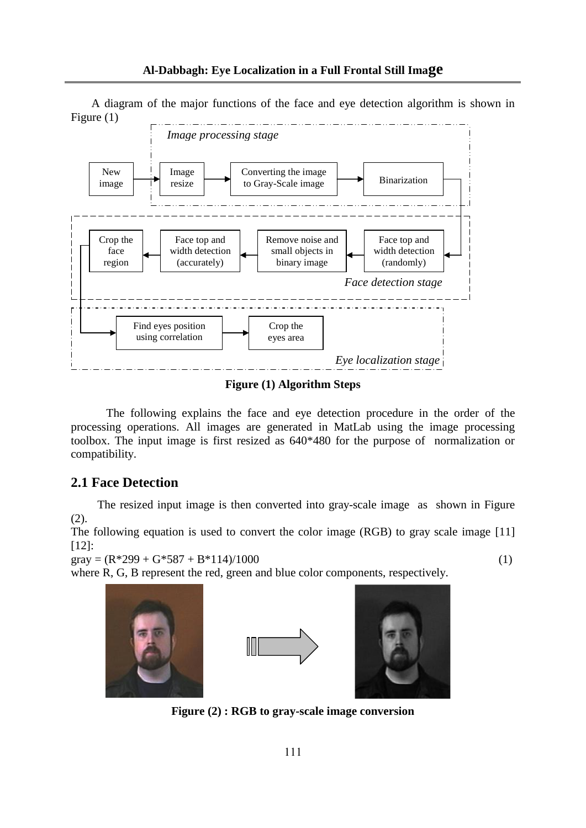A diagram of the major functions of the face and eye detection algorithm is shown in Figure (1)



**Figure (1) Algorithm Steps**

The following explains the face and eye detection procedure in the order of the processing operations. All images are generated in MatLab using the image processing toolbox. The input image is first resized as 640\*480 for the purpose of normalization or compatibility.

# **2.1 Face Detection**

 The resized input image is then converted into gray-scale image as shown in Figure (2).

The following equation is used to convert the color image (RGB) to gray scale image [11] [12]:

 $\text{gray} = (\text{R} \cdot 299 + \text{G} \cdot 587 + \text{B} \cdot 114)/1000$  (1)

where R, G, B represent the red, green and blue color components, respectively.







**Figure (2) : RGB to gray-scale image conversion**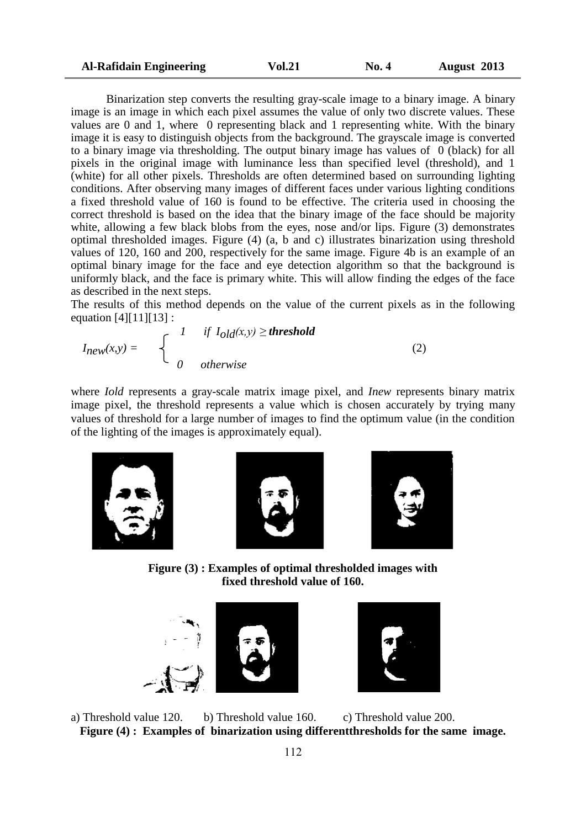| <b>Al-Rafidain Engineering</b> | <b>Vol.21</b> | <b>No. 4</b> | August 2013 |
|--------------------------------|---------------|--------------|-------------|
|--------------------------------|---------------|--------------|-------------|

Binarization step converts the resulting gray-scale image to a binary image. A binary image is an image in which each pixel assumes the value of only two discrete values. These values are 0 and 1, where 0 representing black and 1 representing white. With the binary image it is easy to distinguish objects from the background. The grayscale image is converted to a binary image via thresholding. The output binary image has values of  $\theta$  (black) for all pixels in the original image with luminance less than specified level (threshold), and 1 (white) for all other pixels. Thresholds are often determined based on surrounding lighting conditions. After observing many images of different faces under various lighting conditions a fixed threshold value of 160 is found to be effective. The criteria used in choosing the correct threshold is based on the idea that the binary image of the face should be majority white, allowing a few black blobs from the eyes, nose and/or lips. Figure (3) demonstrates optimal thresholded images. Figure (4) (a, b and c) illustrates binarization using threshold values of 120, 160 and 200, respectively for the same image. Figure 4b is an example of an optimal binary image for the face and eye detection algorithm so that the background is uniformly black, and the face is primary white. This will allow finding the edges of the face as described in the next steps.

The results of this method depends on the value of the current pixels as in the following equation [4][11][13] :

$$
I_{new}(x,y) = \begin{cases} 1 & \text{if } I_{old}(x,y) \geq \text{threshold} \\ 0 & \text{otherwise} \end{cases}
$$
 (2)

where *Iold* represents a gray-scale matrix image pixel, and *Inew* represents binary matrix image pixel, the threshold represents a value which is chosen accurately by trying many values of threshold for a large number of images to find the optimum value (in the condition of the lighting of the images is approximately equal).







**Figure (3) : Examples of optimal thresholded images with fixed threshold value of 160.**





a) Threshold value 120. b) Threshold value 160. c) Threshold value 200. **Figure (4) : Examples of binarization using differentthresholds for the same image.**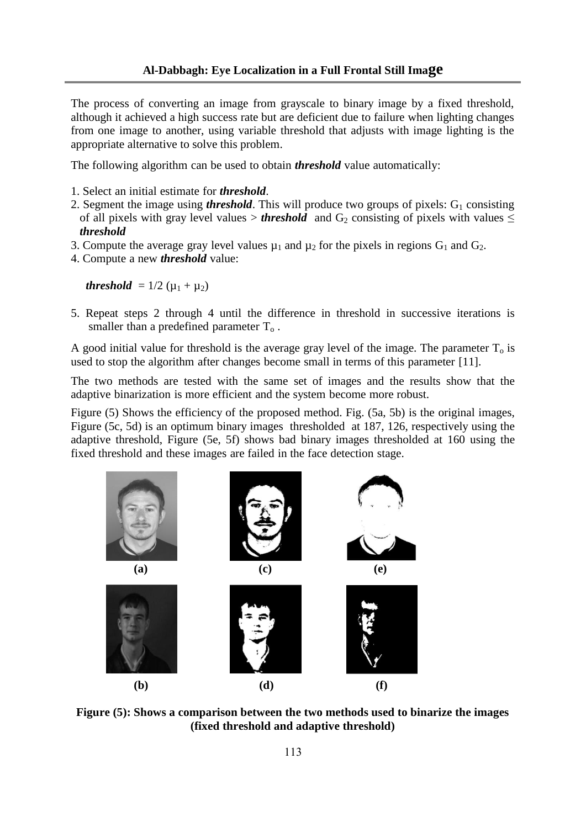The process of converting an image from grayscale to binary image by a fixed threshold, although it achieved a high success rate but are deficient due to failure when lighting changes from one image to another, using variable threshold that adjusts with image lighting is the appropriate alternative to solve this problem.

The following algorithm can be used to obtain *threshold* value automatically:

- 1. Select an initial estimate for *threshold*.
- 2. Segment the image using *threshold*. This will produce two groups of pixels:  $G_1$  consisting of all pixels with gray level values > *threshold* and  $G_2$  consisting of pixels with values  $\leq$ *threshold*
- 3. Compute the average gray level values  $\mu_1$  and  $\mu_2$  for the pixels in regions  $G_1$  and  $G_2$ .
- 4. Compute a new *threshold* value:

*threshold* =  $1/2 (\mu_1 + \mu_2)$ 

5. Repeat steps 2 through 4 until the difference in threshold in successive iterations is smaller than a predefined parameter  $T_0$ .

A good initial value for threshold is the average gray level of the image. The parameter  $T<sub>o</sub>$  is used to stop the algorithm after changes become small in terms of this parameter [11].

The two methods are tested with the same set of images and the results show that the adaptive binarization is more efficient and the system become more robust.

Figure (5) Shows the efficiency of the proposed method. Fig. (5a, 5b) is the original images, Figure (5c, 5d) is an optimum binary images thresholded at 187, 126, respectively using the adaptive threshold, Figure (5e, 5f) shows bad binary images thresholded at 160 using the fixed threshold and these images are failed in the face detection stage.



**Figure (5): Shows a comparison between the two methods used to binarize the images (fixed threshold and adaptive threshold)**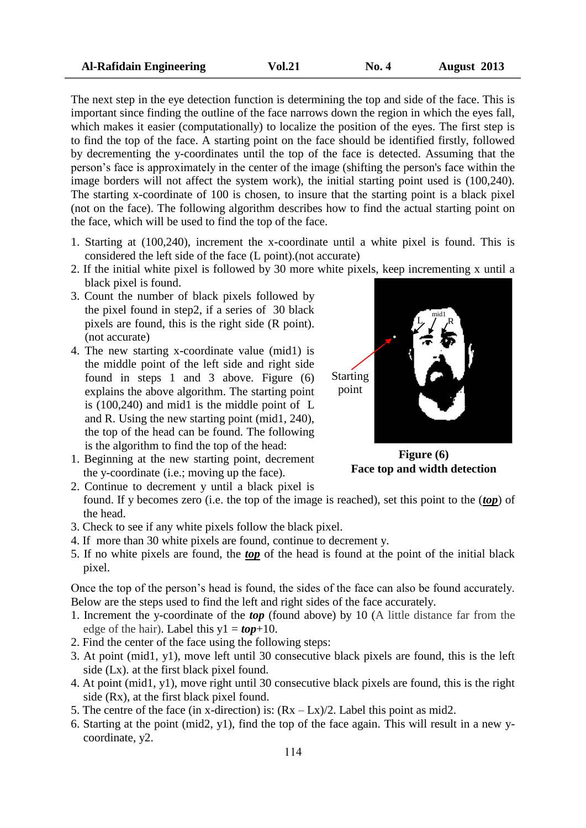The next step in the eye detection function is determining the top and side of the face. This is important since finding the outline of the face narrows down the region in which the eyes fall, which makes it easier (computationally) to localize the position of the eyes. The first step is to find the top of the face. A starting point on the face should be identified firstly, followed by decrementing the y-coordinates until the top of the face is detected. Assuming that the person's face is approximately in the center of the image (shifting the person's face within the image borders will not affect the system work), the initial starting point used is (100,240). The starting x-coordinate of 100 is chosen, to insure that the starting point is a black pixel (not on the face). The following algorithm describes how to find the actual starting point on the face, which will be used to find the top of the face.

- 1. Starting at (100,240), increment the x-coordinate until a white pixel is found. This is considered the left side of the face (L point).(not accurate)
- 2. If the initial white pixel is followed by 30 more white pixels, keep incrementing x until a black pixel is found.
- 3. Count the number of black pixels followed by the pixel found in step2, if a series of 30 black pixels are found, this is the right side (R point). (not accurate)
- 4. The new starting x-coordinate value (mid1) is the middle point of the left side and right side found in steps 1 and 3 above. Figure (6) explains the above algorithm. The starting point is (100,240) and mid1 is the middle point of L and R. Using the new starting point (mid1, 240), the top of the head can be found. The following is the algorithm to find the top of the head:
- 1. Beginning at the new starting point, decrement the y-coordinate (i.e.; moving up the face).



**Figure (6) Face top and width detection**

- 2. Continue to decrement y until a black pixel is found. If y becomes zero (i.e. the top of the image is reached), set this point to the (*top*) of the head.
- 3. Check to see if any white pixels follow the black pixel.
- 4. If more than 30 white pixels are found, continue to decrement y.
- 5. If no white pixels are found, the *top* of the head is found at the point of the initial black pixel.

Once the top of the person's head is found, the sides of the face can also be found accurately. Below are the steps used to find the left and right sides of the face accurately.

- 1. Increment the y-coordinate of the *top* (found above) by 10 (A little distance far from the edge of the hair). Label this  $y1 = top+10$ .
- 2. Find the center of the face using the following steps:
- 3. At point (mid1, y1), move left until 30 consecutive black pixels are found, this is the left side (Lx). at the first black pixel found.
- 4. At point (mid1, y1), move right until 30 consecutive black pixels are found, this is the right side (Rx), at the first black pixel found.
- 5. The centre of the face (in x-direction) is:  $(Rx Lx)/2$ . Label this point as mid2.
- 6. Starting at the point (mid2, y1), find the top of the face again. This will result in a new ycoordinate, y2.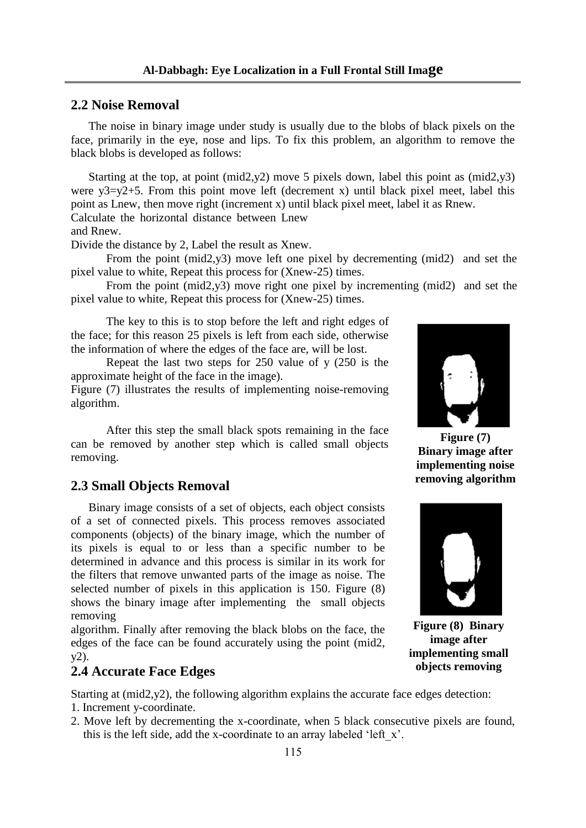## **2.2 Noise Removal**

 The noise in binary image under study is usually due to the blobs of black pixels on the face, primarily in the eye, nose and lips. To fix this problem, an algorithm to remove the black blobs is developed as follows:

 Starting at the top, at point (mid2,y2) move 5 pixels down, label this point as (mid2,y3) were  $y3=y2+5$ . From this point move left (decrement x) until black pixel meet, label this point as Lnew, then move right (increment x) until black pixel meet, label it as Rnew. Calculate the horizontal distance between Lnew

and Rnew.

Divide the distance by 2, Label the result as Xnew.

From the point (mid2,y3) move left one pixel by decrementing (mid2) and set the pixel value to white, Repeat this process for (Xnew-25) times.

From the point (mid2,y3) move right one pixel by incrementing (mid2) and set the pixel value to white, Repeat this process for (Xnew-25) times.

The key to this is to stop before the left and right edges of the face; for this reason 25 pixels is left from each side, otherwise the information of where the edges of the face are, will be lost.

Repeat the last two steps for 250 value of y (250 is the approximate height of the face in the image).

Figure (7) illustrates the results of implementing noise-removing algorithm.

After this step the small black spots remaining in the face can be removed by another step which is called small objects removing.

## **2.3 Small Objects Removal**

 Binary image consists of a set of objects, each object consists of a set of connected pixels. This process removes associated components (objects) of the binary image, which the number of its pixels is equal to or less than a specific number to be determined in advance and this process is similar in its work for the filters that remove unwanted parts of the image as noise. The selected number of pixels in this application is 150. Figure (8) shows the binary image after implementing the small objects removing

algorithm. Finally after removing the black blobs on the face, the edges of the face can be found accurately using the point (mid2, y2).

#### **2.4 Accurate Face Edges**

Starting at (mid2,y2), the following algorithm explains the accurate face edges detection:

- 1. Increment y-coordinate.
- 2. Move left by decrementing the x-coordinate, when 5 black consecutive pixels are found, this is the left side, add the x-coordinate to an array labeled 'left\_x'.



**Figure (7) Binary image after implementing noise removing algorithm**



**Figure (8) Binary image after implementing small objects removing**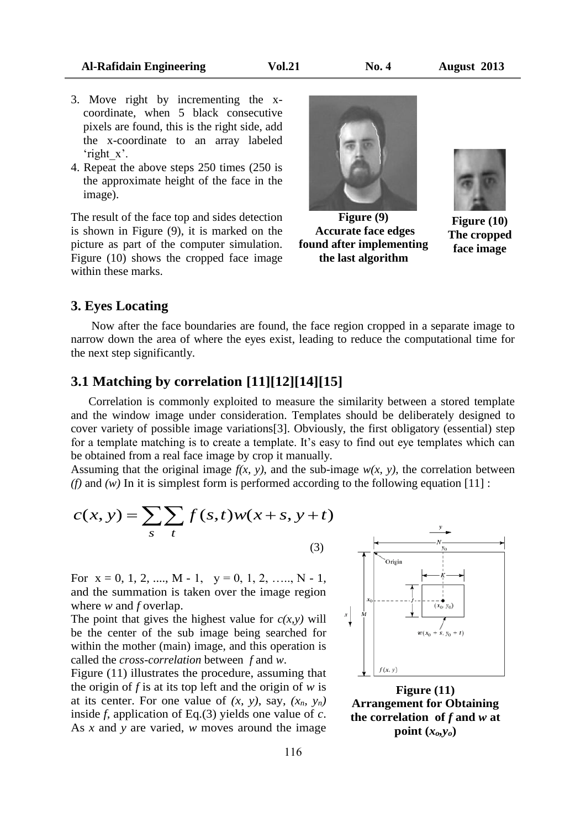- 3. Move right by incrementing the xcoordinate, when 5 black consecutive pixels are found, this is the right side, add the x-coordinate to an array labeled 'right\_x'.
- 4. Repeat the above steps 250 times (250 is the approximate height of the face in the image).

The result of the face top and sides detection is shown in Figure (9), it is marked on the picture as part of the computer simulation. Figure (10) shows the cropped face image within these marks.



**Figure (9) Accurate face edges found after implementing the last algorithm**



**Figure (10) The cropped face image**

## **3. Eyes Locating**

 Now after the face boundaries are found, the face region cropped in a separate image to narrow down the area of where the eyes exist, leading to reduce the computational time for the next step significantly.

# **3.1 Matching by correlation [11][12][14][15]**

 Correlation is commonly exploited to measure the similarity between a stored template and the window image under consideration. Templates should be deliberately designed to cover variety of possible image variations[3]. Obviously, the first obligatory (essential) step for a template matching is to create a template. It's easy to find out eye templates which can be obtained from a real face image by crop it manually.

Assuming that the original image  $f(x, y)$ , and the sub-image  $w(x, y)$ , the correlation between *(f)* and *(w)* In it is simplest form is performed according to the following equation  $[11]$ :

$$
c(x, y) = \sum_{s} \sum_{t} f(s, t) w(x + s, y + t)
$$
\n(3)

For  $x = 0, 1, 2, \ldots, M - 1, y = 0, 1, 2, \ldots, N - 1$ , and the summation is taken over the image region where *w* and *f* overlap.

The point that gives the highest value for  $c(x, y)$  will be the center of the sub image being searched for within the mother (main) image, and this operation is called the *cross-correlation* between *f* and *w*.

Figure (11) illustrates the procedure, assuming that the origin of *f* is at its top left and the origin of *w* is at its center. For one value of  $(x, y)$ , say,  $(x_n, y_n)$ inside *f*, application of Eq.(3) yields one value of *c*. As *x* and *y* are varied, *w* moves around the image



**Figure (11) Arrangement for Obtaining**  the correlation of  $f$  and  $w$  at **point**  $(x_o, y_o)$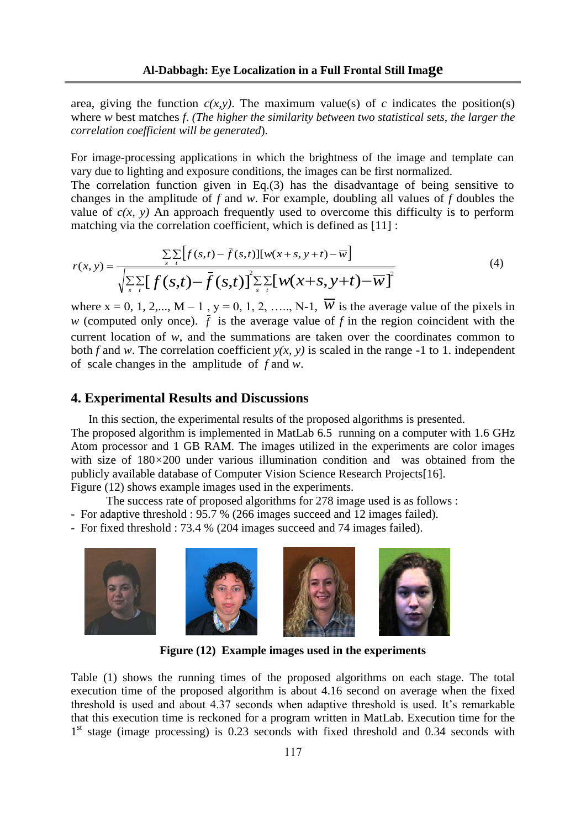area, giving the function  $c(x, y)$ . The maximum value(s) of *c* indicates the position(s) where *w* best matches *f*. *(The higher the similarity between two statistical sets, the larger the correlation coefficient will be generated*).

For image-processing applications in which the brightness of the image and template can vary due to lighting and exposure conditions, the images can be first normalized.

The correlation function given in Eq.(3) has the disadvantage of being sensitive to changes in the amplitude of *f* and *w*. For example, doubling all values of *f* doubles the value of  $c(x, y)$  An approach frequently used to overcome this difficulty is to perform matching via the correlation coefficient, which is defined as [11] :

$$
r(x, y) = \frac{\sum\limits_{s} \sum\limits_{t} [f(s, t) - \bar{f}(s, t)][w(x + s, y + t) - \bar{w}]}{\sqrt{\sum\limits_{s} \sum\limits_{t} [f(s, t) - \bar{f}(s, t)]^2 \sum\limits_{s} \sum\limits_{t} [w(x + s, y + t) - \bar{w}]}^2}
$$
(4)

where  $x = 0, 1, 2,..., M - 1$ ,  $y = 0, 1, 2, ..., N-1$ ,  $\overline{W}$  is the average value of the pixels in *w* (computed only once).  $\bar{f}$  is the average value of  $f$  in the region coincident with the current location of *w*, and the summations are taken over the coordinates common to both *f* and *w*. The correlation coefficient  $v(x, y)$  is scaled in the range -1 to 1. independent of scale changes in the amplitude of *f* and *w*.

## **4. Experimental Results and Discussions**

 In this section, the experimental results of the proposed algorithms is presented. The proposed algorithm is implemented in MatLab 6.5 running on a computer with 1.6 GHz Atom processor and 1 GB RAM. The images utilized in the experiments are color images with size of  $180\times200$  under various illumination condition and was obtained from the publicly available database of Computer Vision Science Research Projects[16]. Figure (12) shows example images used in the experiments.

The success rate of proposed algorithms for 278 image used is as follows :

- For adaptive threshold : 95.7 % (266 images succeed and 12 images failed).
- For fixed threshold : 73.4 % (204 images succeed and 74 images failed).



**Figure (12) Example images used in the experiments**

Table (1) shows the running times of the proposed algorithms on each stage. The total execution time of the proposed algorithm is about 4.16 second on average when the fixed threshold is used and about 4.37 seconds when adaptive threshold is used. It's remarkable that this execution time is reckoned for a program written in MatLab. Execution time for the 1<sup>st</sup> stage (image processing) is 0.23 seconds with fixed threshold and 0.34 seconds with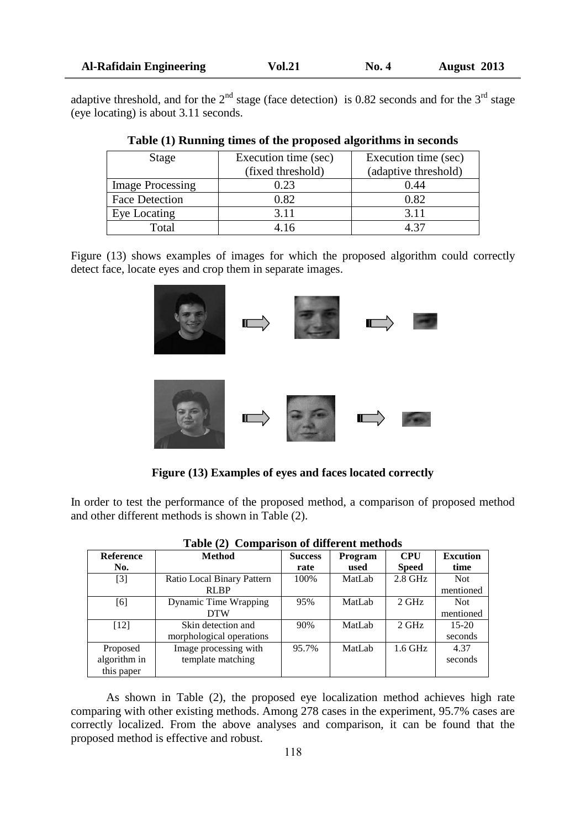| <b>Al-Rafidain Engineering</b> |  |  |
|--------------------------------|--|--|

adaptive threshold, and for the  $2<sup>nd</sup>$  stage (face detection) is 0.82 seconds and for the 3<sup>rd</sup> stage (eye locating) is about 3.11 seconds.

| Stage                   | Execution time (sec) | Execution time (sec) |  |  |
|-------------------------|----------------------|----------------------|--|--|
|                         | (fixed threshold)    | (adaptive threshold) |  |  |
| <b>Image Processing</b> | 0.23                 | 0.44                 |  |  |
| <b>Face Detection</b>   | 0.82                 | 0.82                 |  |  |
| Eye Locating            | 3.11                 | 3.11                 |  |  |
| Total                   | 4.16                 | A 37                 |  |  |

|  |  |  |  |  |  |  | Table (1) Running times of the proposed algorithms in seconds |
|--|--|--|--|--|--|--|---------------------------------------------------------------|
|  |  |  |  |  |  |  |                                                               |

Figure (13) shows examples of images for which the proposed algorithm could correctly detect face, locate eyes and crop them in separate images.



**Figure (13) Examples of eyes and faces located correctly**

In order to test the performance of the proposed method, a comparison of proposed method and other different methods is shown in Table (2).

| <b>Reference</b> | <b>Method</b>              | <b>Success</b> | Program | <b>CPU</b>   | <b>Excution</b> |
|------------------|----------------------------|----------------|---------|--------------|-----------------|
| No.              |                            | rate           | used    | <b>Speed</b> | time            |
| $[3]$            | Ratio Local Binary Pattern | 100%           | MatLab  | $2.8$ GHz    | Not             |
|                  | <b>RLBP</b>                |                |         |              | mentioned       |
| [6]              | Dynamic Time Wrapping      | 95%            | MatLab  | $2$ GHz      | <b>Not</b>      |
|                  | <b>DTW</b>                 |                |         |              | mentioned       |
| $[12]$           | Skin detection and         | 90%            | MatLab  | $2$ GHz      | $15-20$         |
|                  | morphological operations   |                |         |              | seconds         |
| Proposed         | Image processing with      | 95.7%          | MatLab  | $1.6$ GHz    | 4.37            |
| algorithm in     | template matching          |                |         |              | seconds         |
| this paper       |                            |                |         |              |                 |

|  | Table (2) Comparison of different methods |  |  |
|--|-------------------------------------------|--|--|
|--|-------------------------------------------|--|--|

As shown in Table (2), the proposed eye localization method achieves high rate comparing with other existing methods. Among 278 cases in the experiment, 95.7% cases are correctly localized. From the above analyses and comparison, it can be found that the proposed method is effective and robust.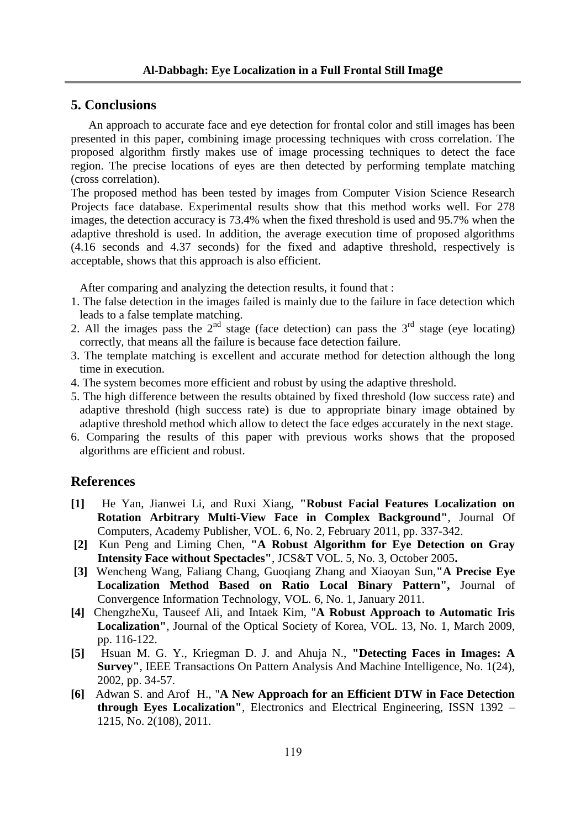## **5. Conclusions**

 An approach to accurate face and eye detection for frontal color and still images has been presented in this paper, combining image processing techniques with cross correlation. The proposed algorithm firstly makes use of image processing techniques to detect the face region. The precise locations of eyes are then detected by performing template matching (cross correlation).

The proposed method has been tested by images from Computer Vision Science Research Projects face database. Experimental results show that this method works well. For 278 images, the detection accuracy is 73.4% when the fixed threshold is used and 95.7% when the adaptive threshold is used. In addition, the average execution time of proposed algorithms (4.16 seconds and 4.37 seconds) for the fixed and adaptive threshold, respectively is acceptable, shows that this approach is also efficient.

After comparing and analyzing the detection results, it found that :

- 1. The false detection in the images failed is mainly due to the failure in face detection which leads to a false template matching.
- 2. All the images pass the  $2<sup>nd</sup>$  stage (face detection) can pass the  $3<sup>rd</sup>$  stage (eye locating) correctly, that means all the failure is because face detection failure.
- 3. The template matching is excellent and accurate method for detection although the long time in execution.
- 4. The system becomes more efficient and robust by using the adaptive threshold.
- 5. The high difference between the results obtained by fixed threshold (low success rate) and adaptive threshold (high success rate) is due to appropriate binary image obtained by adaptive threshold method which allow to detect the face edges accurately in the next stage.
- 6. Comparing the results of this paper with previous works shows that the proposed algorithms are efficient and robust.

## **References**

- **[1]** He Yan, Jianwei Li, and Ruxi Xiang, **"Robust Facial Features Localization on Rotation Arbitrary Multi-View Face in Complex Background"**, Journal Of Computers, Academy Publisher, VOL. 6, No. 2, February 2011, pp. 337-342.
- **[2]** Kun Peng and Liming Chen, **"A Robust Algorithm for Eye Detection on Gray Intensity Face without Spectacles"**, JCS&T VOL. 5, No. 3, October 2005**.**
- **[3]** Wencheng Wang, Faliang Chang, Guoqiang Zhang and Xiaoyan Sun,**"A Precise Eye Localization Method Based on Ratio Local Binary Pattern",** Journal of Convergence Information Technology, VOL. 6, No. 1, January 2011.
- **[4]** ChengzheXu, Tauseef Ali, and Intaek Kim, "**A Robust Approach to Automatic Iris Localization"**, Journal of the Optical Society of Korea, VOL. 13, No. 1, March 2009, pp. 116-122.
- **[5]** Hsuan M. G. Y., Kriegman D. J. and Ahuja N., **"Detecting Faces in Images: A Survey"**, IEEE Transactions On Pattern Analysis And Machine Intelligence, No. 1(24), 2002, pp. 34-57.
- **[6]** Adwan S. and Arof H., "**A New Approach for an Efficient DTW in Face Detection through Eyes Localization"**, Electronics and Electrical Engineering, ISSN 1392 – 1215, No. 2(108), 2011.